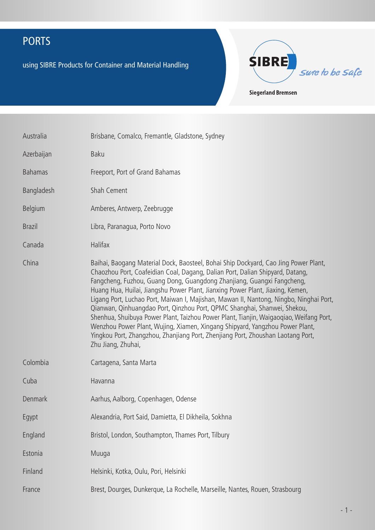using SIBRE Products for Container and Material Handling



Australia Brisbane, Comalco, Fremantle, Gladstone, Sydney Azerbaijan Baku Bahamas Freeport, Port of Grand Bahamas Bangladesh Shah Cement Belgium Amberes, Antwerp, Zeebrugge Brazil Libra, Paranagua, Porto Novo Canada Halifax China Baihai, Baogang Material Dock, Baosteel, Bohai Ship Dockyard, Cao Jing Power Plant, Chaozhou Port, Coafeidian Coal, Dagang, Dalian Port, Dalian Shipyard, Datang, Fangcheng, Fuzhou, Guang Dong, Guangdong Zhanjiang, Guangxi Fangcheng, Huang Hua, Huilai, Jiangshu Power Plant, Jianxing Power Plant, Jiaxing, Kemen, Ligang Port, Luchao Port, Maiwan I, Majishan, Mawan II, Nantong, Ningbo, Ninghai Port, Qianwan, Qinhuangdao Port, Qinzhou Port, QPMC Shanghai, Shanwei, Shekou, Shenhua, Shuibuya Power Plant, Taizhou Power Plant, Tianjin, Waigaoqiao, Weifang Port, Wenzhou Power Plant, Wujing, Xiamen, Xingang Shipyard, Yangzhou Power Plant, Yingkou Port, Zhangzhou, Zhanjiang Port, Zhenjiang Port, Zhoushan Laotang Port, Zhu Jiang, Zhuhai, Colombia Cartagena, Santa Marta Cuba Havanna Denmark **Aarhus, Aalborg, Copenhagen, Odense** Egypt Alexandria, Port Said, Damietta, El Dikheila, Sokhna England Bristol, London, Southampton, Thames Port, Tilbury Estonia Muuga Finland Helsinki, Kotka, Oulu, Pori, Helsinki France Brest, Dourges, Dunkerque, La Rochelle, Marseille, Nantes, Rouen, Strasbourg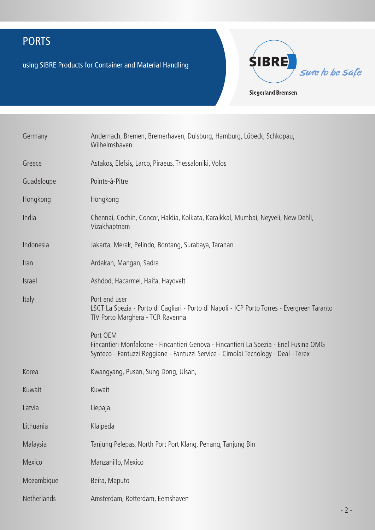using SIBRE Products for Container and Material Handling



| Germany       | Andernach, Bremen, Bremerhaven, Duisburg, Hamburg, Lübeck, Schkopau,<br>Wilhelmshaven                                                                                                  |
|---------------|----------------------------------------------------------------------------------------------------------------------------------------------------------------------------------------|
| Greece        | Astakos, Elefsis, Larco, Piraeus, Thessaloniki, Volos                                                                                                                                  |
| Guadeloupe    | Pointe-à-Pitre                                                                                                                                                                         |
| Hongkong      | Hongkong                                                                                                                                                                               |
| India         | Chennai, Cochin, Concor, Haldia, Kolkata, Karaikkal, Mumbai, Neyveli, New Dehli,<br>Vizakhaptnam                                                                                       |
| Indonesia     | Jakarta, Merak, Pelindo, Bontang, Surabaya, Tarahan                                                                                                                                    |
| Iran          | Ardakan, Mangan, Sadra                                                                                                                                                                 |
| <b>Israel</b> | Ashdod, Hacarmel, Haifa, Hayovelt                                                                                                                                                      |
| Italy         | Port end user<br>LSCT La Spezia - Porto di Cagliari - Porto di Napoli - ICP Porto Torres - Evergreen Taranto<br>TIV Porto Marghera - TCR Ravenna                                       |
|               | Port OEM<br>Fincantieri Monfalcone - Fincantieri Genova - Fincantieri La Spezia - Enel Fusina OMG<br>Synteco - Fantuzzi Reggiane - Fantuzzi Service - Cimolai Tecnology - Deal - Terex |
| Korea         | Kwangyang, Pusan, Sung Dong, Ulsan,                                                                                                                                                    |
| Kuwait        | Kuwait                                                                                                                                                                                 |
| Latvia        | Liepaja                                                                                                                                                                                |
| Lithuania     | Klaipeda                                                                                                                                                                               |
| Malaysia      | Tanjung Pelepas, North Port Port Klang, Penang, Tanjung Bin                                                                                                                            |
| Mexico        | Manzanillo, Mexico                                                                                                                                                                     |
| Mozambique    | Beira, Maputo                                                                                                                                                                          |
| Netherlands   | Amsterdam, Rotterdam, Eemshaven                                                                                                                                                        |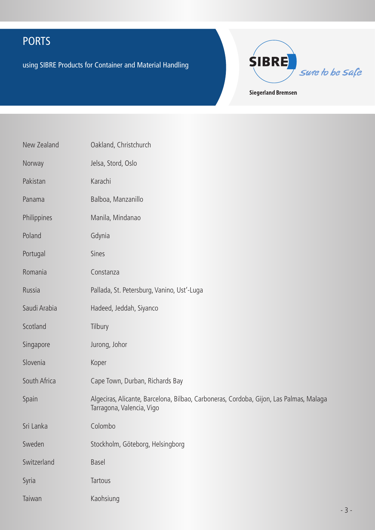using SIBRE Products for Container and Material Handling



**Siegerland Bremsen** 

| New Zealand  | Oakland, Christchurch                                                                                               |
|--------------|---------------------------------------------------------------------------------------------------------------------|
| Norway       | Jelsa, Stord, Oslo                                                                                                  |
| Pakistan     | Karachi                                                                                                             |
| Panama       | Balboa, Manzanillo                                                                                                  |
| Philippines  | Manila, Mindanao                                                                                                    |
| Poland       | Gdynia                                                                                                              |
| Portugal     | Sines                                                                                                               |
| Romania      | Constanza                                                                                                           |
| Russia       | Pallada, St. Petersburg, Vanino, Ust'-Luga                                                                          |
| Saudi Arabia | Hadeed, Jeddah, Siyanco                                                                                             |
| Scotland     | Tilbury                                                                                                             |
| Singapore    | Jurong, Johor                                                                                                       |
| Slovenia     | Koper                                                                                                               |
| South Africa | Cape Town, Durban, Richards Bay                                                                                     |
| Spain        | Algeciras, Alicante, Barcelona, Bilbao, Carboneras, Cordoba, Gijon, Las Palmas, Malaga<br>Tarragona, Valencia, Vigo |
| Sri Lanka    | Colombo                                                                                                             |
| Sweden       | Stockholm, Göteborg, Helsingborg                                                                                    |
| Switzerland  | Basel                                                                                                               |
| Syria        | Tartous                                                                                                             |
| Taiwan       | Kaohsiung                                                                                                           |